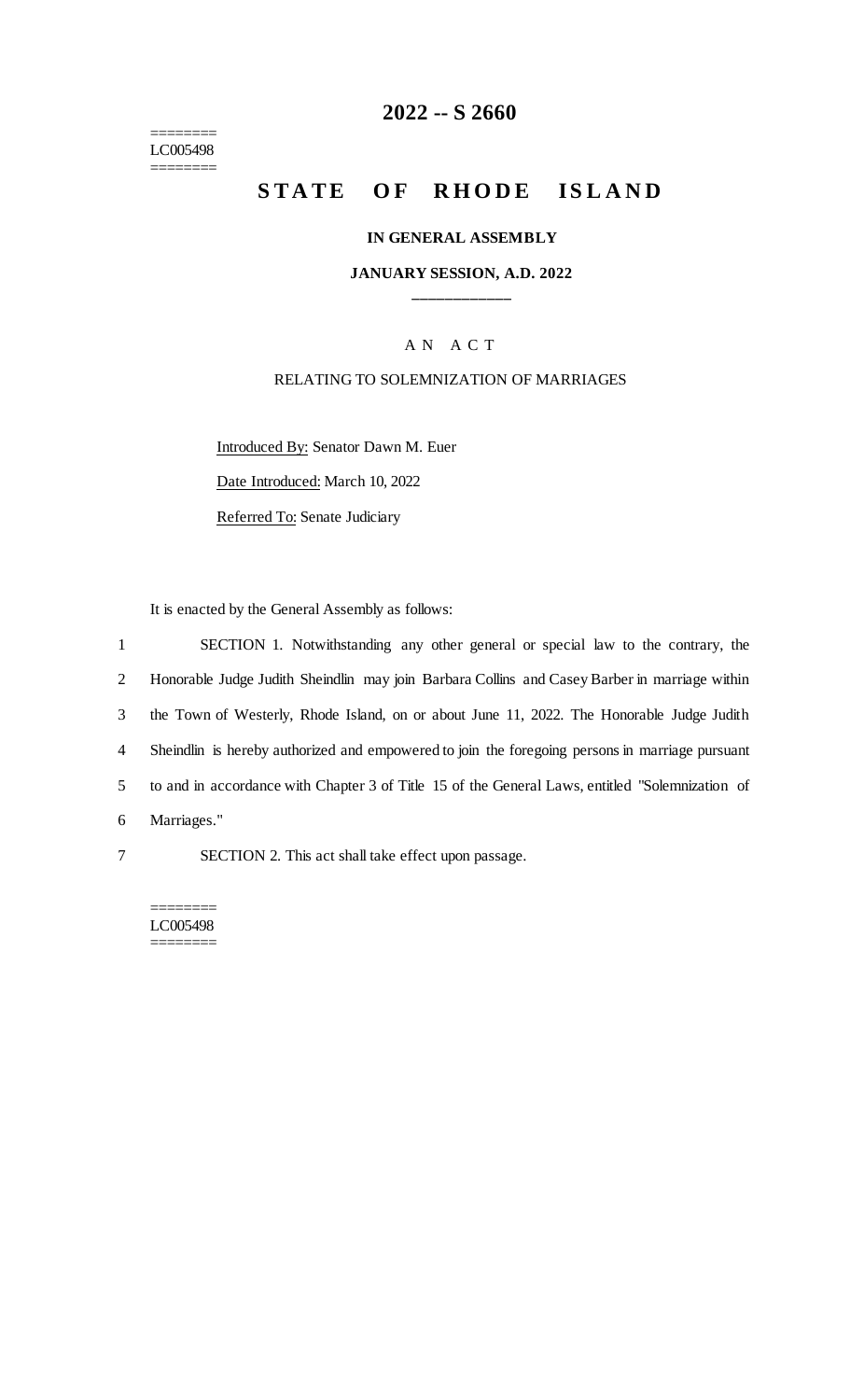======== LC005498 ========

## **2022 -- S 2660**

# **STATE OF RHODE ISLAND**

#### **IN GENERAL ASSEMBLY**

#### **JANUARY SESSION, A.D. 2022 \_\_\_\_\_\_\_\_\_\_\_\_**

#### A N A C T

#### RELATING TO SOLEMNIZATION OF MARRIAGES

Introduced By: Senator Dawn M. Euer Date Introduced: March 10, 2022 Referred To: Senate Judiciary

It is enacted by the General Assembly as follows:

 SECTION 1. Notwithstanding any other general or special law to the contrary, the Honorable Judge Judith Sheindlin may join Barbara Collins and Casey Barber in marriage within the Town of Westerly, Rhode Island, on or about June 11, 2022. The Honorable Judge Judith Sheindlin is hereby authorized and empowered to join the foregoing persons in marriage pursuant to and in accordance with Chapter 3 of Title 15 of the General Laws, entitled "Solemnization of Marriages."

7 SECTION 2. This act shall take effect upon passage.

======== LC005498 ========